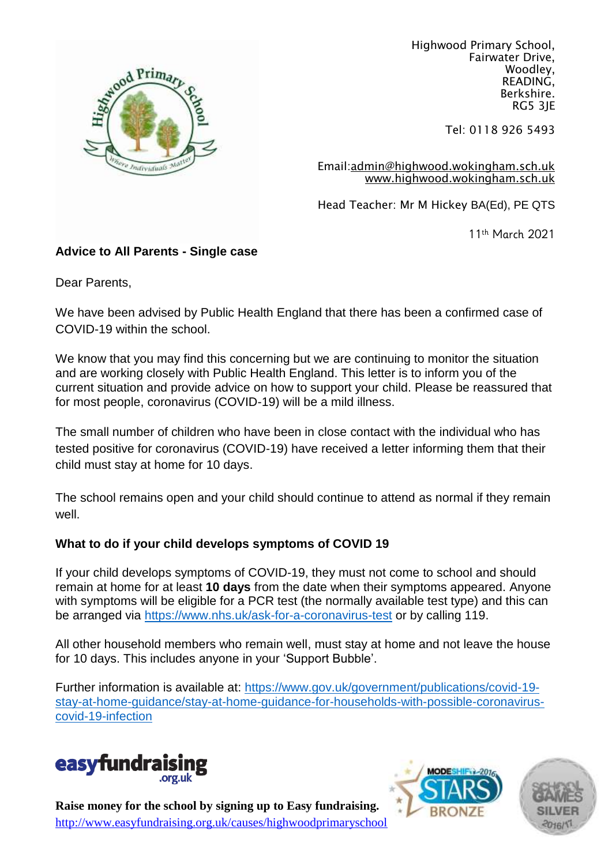

Highwood Primary School, Fairwater Drive, Woodley, READING, Berkshire. RG5 3JE

Tel: 0118 926 5493

Email[:admin@highwood.wokingham.sch.uk](mailto:admin@highwood.wokingham.sch.uk) [www.highwood.wokingham.sch.uk](http://www.highwood.wokingham.sch.uk/)

Head Teacher: Mr M Hickey BA(Ed), PE QTS

11th March 2021

# **Advice to All Parents - Single case**

Dear Parents,

We have been advised by Public Health England that there has been a confirmed case of COVID-19 within the school.

We know that you may find this concerning but we are continuing to monitor the situation and are working closely with Public Health England. This letter is to inform you of the current situation and provide advice on how to support your child. Please be reassured that for most people, coronavirus (COVID-19) will be a mild illness.

The small number of children who have been in close contact with the individual who has tested positive for coronavirus (COVID-19) have received a letter informing them that their child must stay at home for 10 days.

The school remains open and your child should continue to attend as normal if they remain well.

# **What to do if your child develops symptoms of COVID 19**

If your child develops symptoms of COVID-19, they must not come to school and should remain at home for at least **10 days** from the date when their symptoms appeared. Anyone with symptoms will be eligible for a PCR test (the normally available test type) and this can be arranged via<https://www.nhs.uk/ask-for-a-coronavirus-test> or by calling 119.

All other household members who remain well, must stay at home and not leave the house for 10 days. This includes anyone in your 'Support Bubble'.

Further information is available at: [https://www.gov.uk/government/publications/covid-19](https://www.gov.uk/government/publications/covid-19-stay-at-home-guidance/stay-at-home-guidance-for-households-with-possible-coronavirus-covid-19-infection) [stay-at-home-guidance/stay-at-home-guidance-for-households-with-possible-coronavirus](https://www.gov.uk/government/publications/covid-19-stay-at-home-guidance/stay-at-home-guidance-for-households-with-possible-coronavirus-covid-19-infection)[covid-19-infection](https://www.gov.uk/government/publications/covid-19-stay-at-home-guidance/stay-at-home-guidance-for-households-with-possible-coronavirus-covid-19-infection)







**Raise money for the school by signing up to Easy fundraising.** <http://www.easyfundraising.org.uk/causes/highwoodprimaryschool>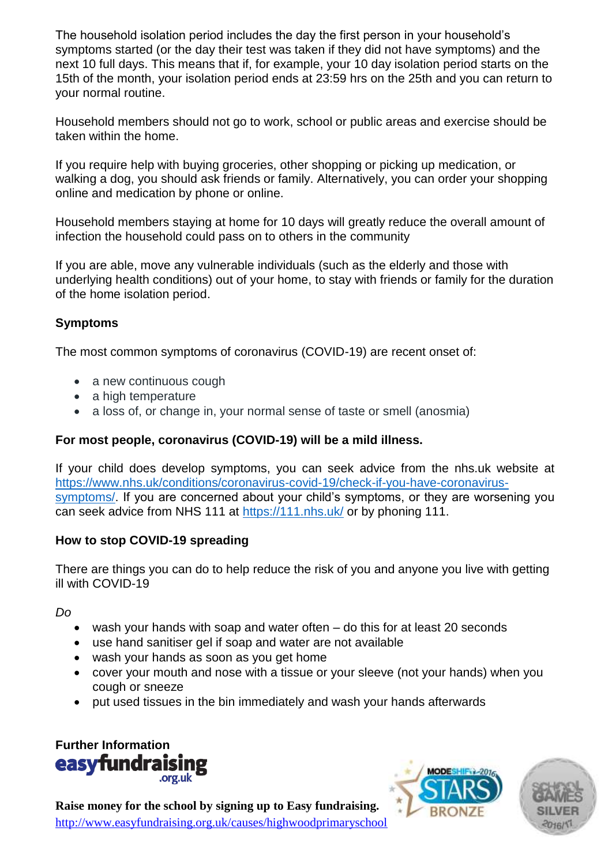The household isolation period includes the day the first person in your household's symptoms started (or the day their test was taken if they did not have symptoms) and the next 10 full days. This means that if, for example, your 10 day isolation period starts on the 15th of the month, your isolation period ends at 23:59 hrs on the 25th and you can return to your normal routine.

Household members should not go to work, school or public areas and exercise should be taken within the home.

If you require help with buying groceries, other shopping or picking up medication, or walking a dog, you should ask friends or family. Alternatively, you can order your shopping online and medication by phone or online.

Household members staying at home for 10 days will greatly reduce the overall amount of infection the household could pass on to others in the community

If you are able, move any vulnerable individuals (such as the elderly and those with underlying health conditions) out of your home, to stay with friends or family for the duration of the home isolation period.

# **Symptoms**

The most common symptoms of coronavirus (COVID-19) are recent onset of:

- a new continuous cough
- a high temperature
- a loss of, or change in, your normal sense of taste or smell (anosmia)

# **For most people, coronavirus (COVID-19) will be a mild illness.**

If your child does develop symptoms, you can seek advice from the nhs.uk website at [https://www.nhs.uk/conditions/coronavirus-covid-19/check-if-you-have-coronavirus](https://www.nhs.uk/conditions/coronavirus-covid-19/check-if-you-have-coronavirus-symptoms/)[symptoms/.](https://www.nhs.uk/conditions/coronavirus-covid-19/check-if-you-have-coronavirus-symptoms/) If you are concerned about your child's symptoms, or they are worsening you can seek advice from NHS 111 at<https://111.nhs.uk/> or by phoning 111.

# **How to stop COVID-19 spreading**

There are things you can do to help reduce the risk of you and anyone you live with getting ill with COVID-19

*Do*

- wash your hands with soap and water often do this for at least 20 seconds
- use hand sanitiser gel if soap and water are not available
- wash your hands as soon as you get home
- cover your mouth and nose with a tissue or your sleeve (not your hands) when you cough or sneeze
- put used tissues in the bin immediately and wash your hands afterwards







**Raise money for the school by signing up to Easy fundraising.** <http://www.easyfundraising.org.uk/causes/highwoodprimaryschool>